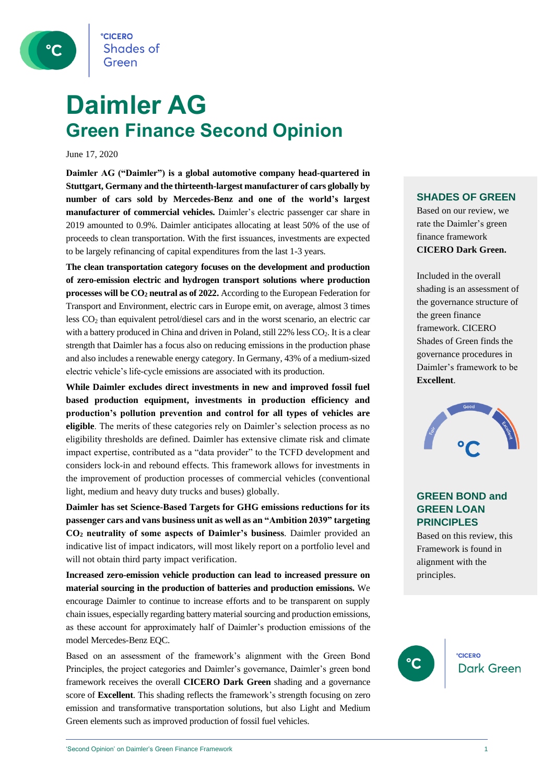

## **Daimler AG Green Finance Second Opinion**

June 17, 2020

**Daimler AG ("Daimler") is a global automotive company head-quartered in Stuttgart, Germany and the thirteenth-largest manufacturer of cars globally by number of cars sold by Mercedes-Benz and one of the world's largest manufacturer of commercial vehicles.** Daimler's electric passenger car share in 2019 amounted to 0.9%. Daimler anticipates allocating at least 50% of the use of proceeds to clean transportation. With the first issuances, investments are expected to be largely refinancing of capital expenditures from the last 1-3 years.

**The clean transportation category focuses on the development and production of zero-emission electric and hydrogen transport solutions where production processes will be CO<sup>2</sup> neutral as of 2022.** According to the European Federation for Transport and Environment, electric cars in Europe emit, on average, almost 3 times less CO<sup>2</sup> than equivalent petrol/diesel cars and in the worst scenario, an electric car with a battery produced in China and driven in Poland, still  $22\%$  less  $CO<sub>2</sub>$ . It is a clear strength that Daimler has a focus also on reducing emissions in the production phase and also includes a renewable energy category. In Germany, 43% of a medium-sized electric vehicle's life-cycle emissions are associated with its production.

**While Daimler excludes direct investments in new and improved fossil fuel based production equipment, investments in production efficiency and production's pollution prevention and control for all types of vehicles are eligible**. The merits of these categories rely on Daimler's selection process as no eligibility thresholds are defined. Daimler has extensive climate risk and climate impact expertise, contributed as a "data provider" to the TCFD development and considers lock-in and rebound effects. This framework allows for investments in the improvement of production processes of commercial vehicles (conventional light, medium and heavy duty trucks and buses) globally.

**Daimler has set Science-Based Targets for GHG emissions reductions for its passenger cars and vans business unit as well as an "Ambition 2039" targeting CO<sup>2</sup> neutrality of some aspects of Daimler's business**. Daimler provided an indicative list of impact indicators, will most likely report on a portfolio level and will not obtain third party impact verification.

**Increased zero-emission vehicle production can lead to increased pressure on material sourcing in the production of batteries and production emissions.** We encourage Daimler to continue to increase efforts and to be transparent on supply chain issues, especially regarding battery material sourcing and production emissions, as these account for approximately half of Daimler's production emissions of the model Mercedes-Benz EQC.

Based on an assessment of the framework's alignment with the Green Bond Principles, the project categories and Daimler's governance, Daimler's green bond framework receives the overall **CICERO Dark Green** shading and a governance score of **Excellent**. This shading reflects the framework's strength focusing on zero emission and transformative transportation solutions, but also Light and Medium Green elements such as improved production of fossil fuel vehicles.

### **SHADES OF GREEN**

Based on our review, we rate the Daimler's green finance framework **CICERO Dark Green.** 

Included in the overall shading is an assessment of the governance structure of the green finance framework. CICERO Shades of Green finds the governance procedures in Daimler's framework to be **Excellent**.



### **GREEN BOND and GREEN LOAN PRINCIPLES**

Based on this review, this Framework is found in alignment with the principles.

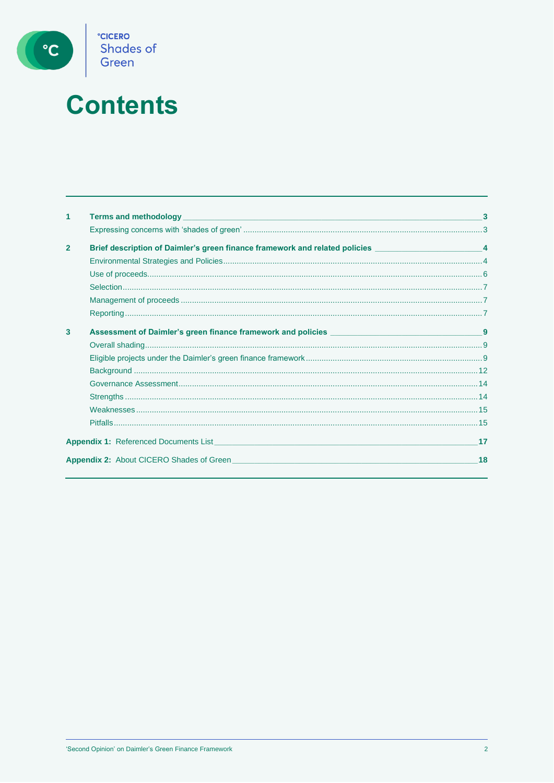

# **Contents**

| 1              |                                                                                                       |    |
|----------------|-------------------------------------------------------------------------------------------------------|----|
|                |                                                                                                       |    |
| $\overline{2}$ | Brief description of Daimler's green finance framework and related policies ________________________4 |    |
|                |                                                                                                       |    |
|                |                                                                                                       |    |
|                |                                                                                                       |    |
|                |                                                                                                       |    |
|                |                                                                                                       |    |
| 3              |                                                                                                       |    |
|                |                                                                                                       |    |
|                |                                                                                                       |    |
|                |                                                                                                       |    |
|                |                                                                                                       |    |
|                |                                                                                                       |    |
|                |                                                                                                       |    |
|                |                                                                                                       |    |
|                |                                                                                                       | 17 |
|                | <b>Appendix 2:</b> About CICERO Shades of Green                                                       | 18 |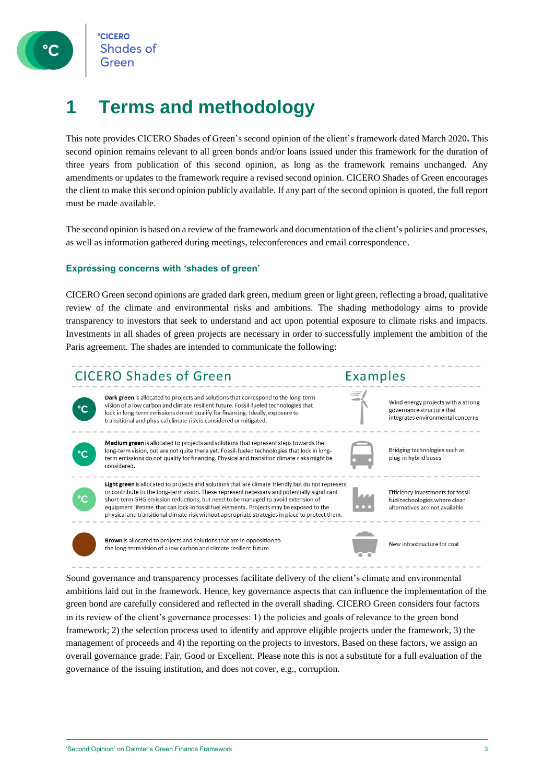### **1 Terms and methodology**

This note provides CICERO Shades of Green's second opinion of the client's framework dated March 2020**.** This second opinion remains relevant to all green bonds and/or loans issued under this framework for the duration of three years from publication of this second opinion, as long as the framework remains unchanged. Any amendments or updates to the framework require a revised second opinion. CICERO Shades of Green encourages the client to make this second opinion publicly available. If any part of the second opinion is quoted, the full report must be made available.

The second opinion is based on a review of the framework and documentation of the client's policies and processes, as well as information gathered during meetings, teleconferences and email correspondence.

### **Expressing concerns with 'shades of green'**

CICERO Green second opinions are graded dark green, medium green or light green, reflecting a broad, qualitative review of the climate and environmental risks and ambitions. The shading methodology aims to provide transparency to investors that seek to understand and act upon potential exposure to climate risks and impacts. Investments in all shades of green projects are necessary in order to successfully implement the ambition of the Paris agreement. The shades are intended to communicate the following:



Sound governance and transparency processes facilitate delivery of the client's climate and environmental ambitions laid out in the framework. Hence, key governance aspects that can influence the implementation of the green bond are carefully considered and reflected in the overall shading. CICERO Green considers four factors in its review of the client's governance processes: 1) the policies and goals of relevance to the green bond framework; 2) the selection process used to identify and approve eligible projects under the framework, 3) the management of proceeds and 4) the reporting on the projects to investors. Based on these factors, we assign an overall governance grade: Fair, Good or Excellent. Please note this is not a substitute for a full evaluation of the governance of the issuing institution, and does not cover, e.g., corruption.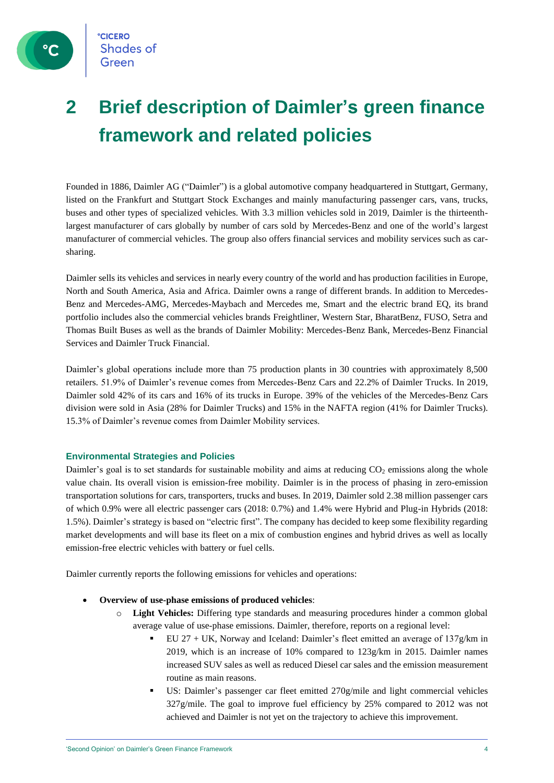

## **2 Brief description of Daimler's green finance framework and related policies**

Founded in 1886, Daimler AG ("Daimler") is a global automotive company headquartered in Stuttgart, Germany, listed on the Frankfurt and Stuttgart Stock Exchanges and mainly manufacturing passenger cars, vans, trucks, buses and other types of specialized vehicles. With 3.3 million vehicles sold in 2019, Daimler is the thirteenthlargest manufacturer of cars globally by number of cars sold by Mercedes-Benz and one of the world's largest manufacturer of commercial vehicles. The group also offers financial services and mobility services such as carsharing.

Daimler sells its vehicles and services in nearly every country of the world and has production facilities in Europe, North and South America, Asia and Africa. Daimler owns a range of different brands. In addition to Mercedes-Benz and Mercedes-AMG, Mercedes-Maybach and Mercedes me, Smart and the electric brand EQ, its brand portfolio includes also the commercial vehicles brands Freightliner, Western Star, BharatBenz, FUSO, Setra and Thomas Built Buses as well as the brands of Daimler Mobility: Mercedes-Benz Bank, Mercedes-Benz Financial Services and Daimler Truck Financial.

Daimler's global operations include more than 75 production plants in 30 countries with approximately 8,500 retailers. 51.9% of Daimler's revenue comes from Mercedes-Benz Cars and 22.2% of Daimler Trucks. In 2019, Daimler sold 42% of its cars and 16% of its trucks in Europe. 39% of the vehicles of the Mercedes-Benz Cars division were sold in Asia (28% for Daimler Trucks) and 15% in the NAFTA region (41% for Daimler Trucks). 15.3% of Daimler's revenue comes from Daimler Mobility services.

### **Environmental Strategies and Policies**

Daimler's goal is to set standards for sustainable mobility and aims at reducing  $CO<sub>2</sub>$  emissions along the whole value chain. Its overall vision is emission-free mobility. Daimler is in the process of phasing in zero-emission transportation solutions for cars, transporters, trucks and buses. In 2019, Daimler sold 2.38 million passenger cars of which 0.9% were all electric passenger cars (2018: 0.7%) and 1.4% were Hybrid and Plug-in Hybrids (2018: 1.5%). Daimler's strategy is based on "electric first". The company has decided to keep some flexibility regarding market developments and will base its fleet on a mix of combustion engines and hybrid drives as well as locally emission-free electric vehicles with battery or fuel cells.

Daimler currently reports the following emissions for vehicles and operations:

- **Overview of use-phase emissions of produced vehicles**:
	- o **Light Vehicles:** Differing type standards and measuring procedures hinder a common global average value of use-phase emissions. Daimler, therefore, reports on a regional level:
		- $\bullet$  EU 27 + UK, Norway and Iceland: Daimler's fleet emitted an average of 137g/km in 2019, which is an increase of 10% compared to  $123g/km$  in 2015. Daimler names increased SUV sales as well as reduced Diesel car sales and the emission measurement routine as main reasons.
		- US: Daimler's passenger car fleet emitted 270g/mile and light commercial vehicles 327g/mile. The goal to improve fuel efficiency by 25% compared to 2012 was not achieved and Daimler is not yet on the trajectory to achieve this improvement.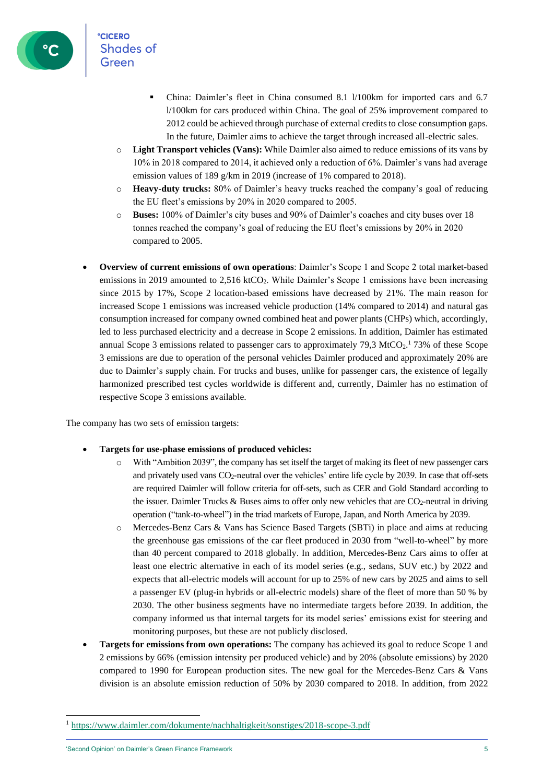

- China: Daimler's fleet in China consumed 8.1 l/100km for imported cars and 6.7 l/100km for cars produced within China. The goal of 25% improvement compared to 2012 could be achieved through purchase of external credits to close consumption gaps. In the future, Daimler aims to achieve the target through increased all-electric sales.
- o **Light Transport vehicles (Vans):** While Daimler also aimed to reduce emissions of its vans by 10% in 2018 compared to 2014, it achieved only a reduction of 6%. Daimler's vans had average emission values of 189 g/km in 2019 (increase of 1% compared to 2018).
- o **Heavy-duty trucks:** 80% of Daimler's heavy trucks reached the company's goal of reducing the EU fleet's emissions by 20% in 2020 compared to 2005.
- o **Buses:** 100% of Daimler's city buses and 90% of Daimler's coaches and city buses over 18 tonnes reached the company's goal of reducing the EU fleet's emissions by 20% in 2020 compared to 2005.
- **Overview of current emissions of own operations**: Daimler's Scope 1 and Scope 2 total market-based emissions in 2019 amounted to 2,516 ktCO<sub>2</sub>. While Daimler's Scope 1 emissions have been increasing since 2015 by 17%, Scope 2 location-based emissions have decreased by 21%. The main reason for increased Scope 1 emissions was increased vehicle production (14% compared to 2014) and natural gas consumption increased for company owned combined heat and power plants (CHPs) which, accordingly, led to less purchased electricity and a decrease in Scope 2 emissions. In addition, Daimler has estimated annual Scope 3 emissions related to passenger cars to approximately  $79.3 \text{ MtCO}_2$ .<sup>1</sup> 73% of these Scope 3 emissions are due to operation of the personal vehicles Daimler produced and approximately 20% are due to Daimler's supply chain. For trucks and buses, unlike for passenger cars, the existence of legally harmonized prescribed test cycles worldwide is different and, currently, Daimler has no estimation of respective Scope 3 emissions available.

The company has two sets of emission targets:

- **Targets for use-phase emissions of produced vehicles:** 
	- o With "Ambition 2039", the company has set itself the target of making its fleet of new passenger cars and privately used vans CO<sub>2</sub>-neutral over the vehicles' entire life cycle by 2039. In case that off-sets are required Daimler will follow criteria for off-sets, such as CER and Gold Standard according to the issuer. Daimler Trucks & Buses aims to offer only new vehicles that are  $CO<sub>2</sub>$ -neutral in driving operation ("tank-to-wheel") in the triad markets of Europe, Japan, and North America by 2039.
	- o Mercedes-Benz Cars & Vans has Science Based Targets (SBTi) in place and aims at reducing the greenhouse gas emissions of the car fleet produced in 2030 from "well-to-wheel" by more than 40 percent compared to 2018 globally. In addition, Mercedes-Benz Cars aims to offer at least one electric alternative in each of its model series (e.g., sedans, SUV etc.) by 2022 and expects that all-electric models will account for up to 25% of new cars by 2025 and aims to sell a passenger EV (plug-in hybrids or all-electric models) share of the fleet of more than 50 % by 2030. The other business segments have no intermediate targets before 2039. In addition, the company informed us that internal targets for its model series' emissions exist for steering and monitoring purposes, but these are not publicly disclosed.
- **Targets for emissions from own operations:** The company has achieved its goal to reduce Scope 1 and 2 emissions by 66% (emission intensity per produced vehicle) and by 20% (absolute emissions) by 2020 compared to 1990 for European production sites. The new goal for the Mercedes-Benz Cars & Vans division is an absolute emission reduction of 50% by 2030 compared to 2018. In addition, from 2022

'Second Opinion' on Daimler's Green Finance Framework 5

<sup>1</sup> <https://www.daimler.com/dokumente/nachhaltigkeit/sonstiges/2018-scope-3.pdf>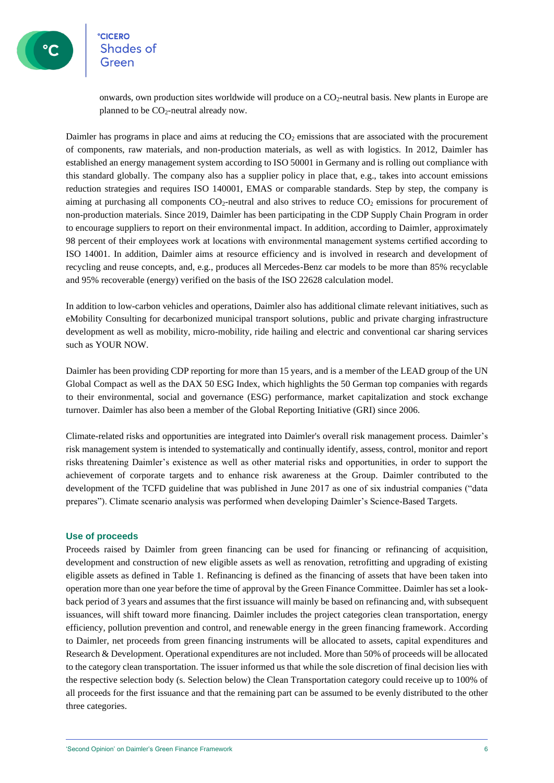

onwards, own production sites worldwide will produce on a CO2-neutral basis. New plants in Europe are planned to be  $CO_2$ -neutral already now.

Daimler has programs in place and aims at reducing the CO<sub>2</sub> emissions that are associated with the procurement of components, raw materials, and non-production materials, as well as with logistics. In 2012, Daimler has established an energy management system according to ISO 50001 in Germany and is rolling out compliance with this standard globally. The company also has a supplier policy in place that, e.g., takes into account emissions reduction strategies and requires ISO 140001, EMAS or comparable standards. Step by step, the company is aiming at purchasing all components  $CO_2$ -neutral and also strives to reduce  $CO_2$  emissions for procurement of non-production materials. Since 2019, Daimler has been participating in the CDP Supply Chain Program in order to encourage suppliers to report on their environmental impact. In addition, according to Daimler, approximately 98 percent of their employees work at locations with environmental management systems certified according to ISO 14001. In addition, Daimler aims at resource efficiency and is involved in research and development of recycling and reuse concepts, and, e.g., produces all Mercedes-Benz car models to be more than 85% recyclable and 95% recoverable (energy) verified on the basis of the ISO 22628 calculation model.

In addition to low-carbon vehicles and operations, Daimler also has additional climate relevant initiatives, such as eMobility Consulting for decarbonized municipal transport solutions, public and private charging infrastructure development as well as mobility, micro-mobility, ride hailing and electric and conventional car sharing services such as YOUR NOW.

Daimler has been providing CDP reporting for more than 15 years, and is a member of the LEAD group of the UN Global Compact as well as the DAX 50 ESG Index, which highlights the 50 German top companies with regards to their environmental, social and governance (ESG) performance, market capitalization and stock exchange turnover. Daimler has also been a member of the Global Reporting Initiative (GRI) since 2006.

Climate-related risks and opportunities are integrated into Daimler's overall risk management process. Daimler's risk management system is intended to systematically and continually identify, assess, control, monitor and report risks threatening Daimler's existence as well as other material risks and opportunities, in order to support the achievement of corporate targets and to enhance risk awareness at the Group. Daimler contributed to the development of the TCFD guideline that was published in June 2017 as one of six industrial companies ("data prepares"). Climate scenario analysis was performed when developing Daimler's Science-Based Targets.

#### **Use of proceeds**

Proceeds raised by Daimler from green financing can be used for financing or refinancing of acquisition, development and construction of new eligible assets as well as renovation, retrofitting and upgrading of existing eligible assets as defined in Table 1. Refinancing is defined as the financing of assets that have been taken into operation more than one year before the time of approval by the Green Finance Committee. Daimler has set a lookback period of 3 years and assumes that the first issuance will mainly be based on refinancing and, with subsequent issuances, will shift toward more financing. Daimler includes the project categories clean transportation, energy efficiency, pollution prevention and control, and renewable energy in the green financing framework. According to Daimler, net proceeds from green financing instruments will be allocated to assets, capital expenditures and Research & Development. Operational expenditures are not included. More than 50% of proceeds will be allocated to the category clean transportation. The issuer informed us that while the sole discretion of final decision lies with the respective selection body (s. Selection below) the Clean Transportation category could receive up to 100% of all proceeds for the first issuance and that the remaining part can be assumed to be evenly distributed to the other three categories.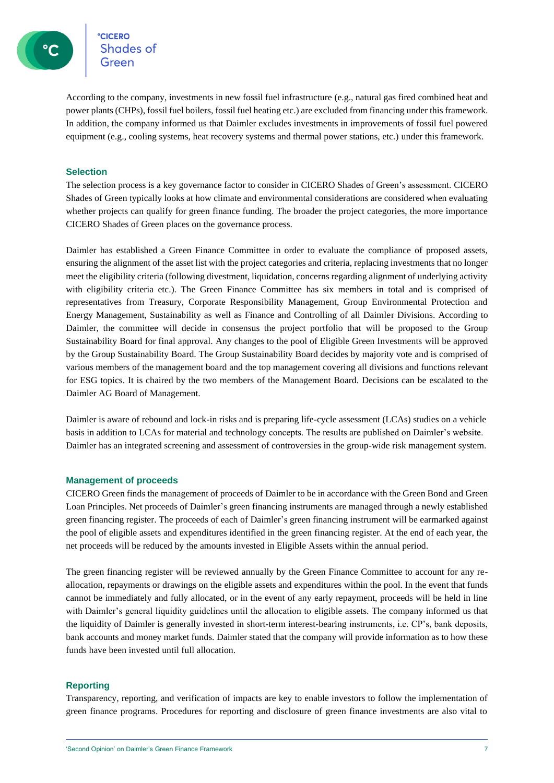

**CICERO CICERO**<br>Shades of

According to the company, investments in new fossil fuel infrastructure (e.g., natural gas fired combined heat and power plants (CHPs), fossil fuel boilers, fossil fuel heating etc.) are excluded from financing under this framework. In addition, the company informed us that Daimler excludes investments in improvements of fossil fuel powered equipment (e.g., cooling systems, heat recovery systems and thermal power stations, etc.) under this framework.

### **Selection**

The selection process is a key governance factor to consider in CICERO Shades of Green's assessment. CICERO Shades of Green typically looks at how climate and environmental considerations are considered when evaluating whether projects can qualify for green finance funding. The broader the project categories, the more importance CICERO Shades of Green places on the governance process.

Daimler has established a Green Finance Committee in order to evaluate the compliance of proposed assets, ensuring the alignment of the asset list with the project categories and criteria, replacing investments that no longer meet the eligibility criteria (following divestment, liquidation, concerns regarding alignment of underlying activity with eligibility criteria etc.). The Green Finance Committee has six members in total and is comprised of representatives from Treasury, Corporate Responsibility Management, Group Environmental Protection and Energy Management, Sustainability as well as Finance and Controlling of all Daimler Divisions. According to Daimler, the committee will decide in consensus the project portfolio that will be proposed to the Group Sustainability Board for final approval. Any changes to the pool of Eligible Green Investments will be approved by the Group Sustainability Board. The Group Sustainability Board decides by majority vote and is comprised of various members of the management board and the top management covering all divisions and functions relevant for ESG topics. It is chaired by the two members of the Management Board. Decisions can be escalated to the Daimler AG Board of Management.

Daimler is aware of rebound and lock-in risks and is preparing life-cycle assessment (LCAs) studies on a vehicle basis in addition to LCAs for material and technology concepts. The results are published on Daimler's website. Daimler has an integrated screening and assessment of controversies in the group-wide risk management system.

### **Management of proceeds**

CICERO Green finds the management of proceeds of Daimler to be in accordance with the Green Bond and Green Loan Principles. Net proceeds of Daimler's green financing instruments are managed through a newly established green financing register. The proceeds of each of Daimler's green financing instrument will be earmarked against the pool of eligible assets and expenditures identified in the green financing register. At the end of each year, the net proceeds will be reduced by the amounts invested in Eligible Assets within the annual period.

The green financing register will be reviewed annually by the Green Finance Committee to account for any reallocation, repayments or drawings on the eligible assets and expenditures within the pool. In the event that funds cannot be immediately and fully allocated, or in the event of any early repayment, proceeds will be held in line with Daimler's general liquidity guidelines until the allocation to eligible assets. The company informed us that the liquidity of Daimler is generally invested in short-term interest-bearing instruments, i.e. CP's, bank deposits, bank accounts and money market funds. Daimler stated that the company will provide information as to how these funds have been invested until full allocation.

### **Reporting**

Transparency, reporting, and verification of impacts are key to enable investors to follow the implementation of green finance programs. Procedures for reporting and disclosure of green finance investments are also vital to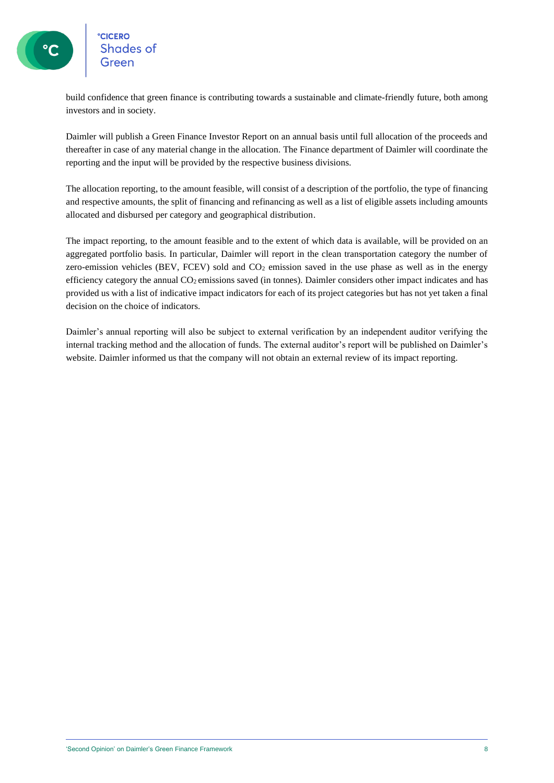build confidence that green finance is contributing towards a sustainable and climate-friendly future, both among investors and in society.

Daimler will publish a Green Finance Investor Report on an annual basis until full allocation of the proceeds and thereafter in case of any material change in the allocation. The Finance department of Daimler will coordinate the reporting and the input will be provided by the respective business divisions.

The allocation reporting, to the amount feasible, will consist of a description of the portfolio, the type of financing and respective amounts, the split of financing and refinancing as well as a list of eligible assets including amounts allocated and disbursed per category and geographical distribution.

The impact reporting, to the amount feasible and to the extent of which data is available, will be provided on an aggregated portfolio basis. In particular, Daimler will report in the clean transportation category the number of zero-emission vehicles (BEV, FCEV) sold and  $CO<sub>2</sub>$  emission saved in the use phase as well as in the energy efficiency category the annual  $CO<sub>2</sub>$  emissions saved (in tonnes). Daimler considers other impact indicates and has provided us with a list of indicative impact indicators for each of its project categories but has not yet taken a final decision on the choice of indicators.

Daimler's annual reporting will also be subject to external verification by an independent auditor verifying the internal tracking method and the allocation of funds. The external auditor's report will be published on Daimler's website. Daimler informed us that the company will not obtain an external review of its impact reporting.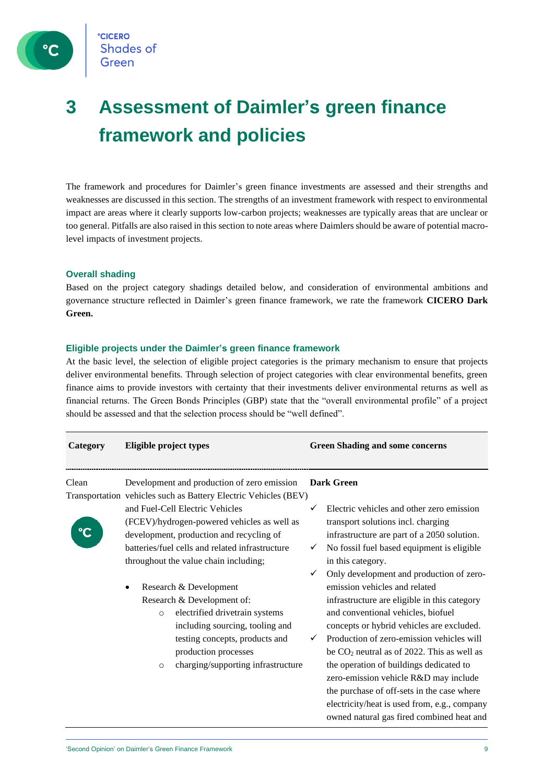

## **3 Assessment of Daimler's green finance framework and policies**

The framework and procedures for Daimler's green finance investments are assessed and their strengths and weaknesses are discussed in this section. The strengths of an investment framework with respect to environmental impact are areas where it clearly supports low-carbon projects; weaknesses are typically areas that are unclear or too general. Pitfalls are also raised in this section to note areas where Daimlers should be aware of potential macrolevel impacts of investment projects.

### **Overall shading**

Based on the project category shadings detailed below, and consideration of environmental ambitions and governance structure reflected in Daimler's green finance framework, we rate the framework **CICERO Dark Green.**

### **Eligible projects under the Daimler's green finance framework**

At the basic level, the selection of eligible project categories is the primary mechanism to ensure that projects deliver environmental benefits. Through selection of project categories with clear environmental benefits, green finance aims to provide investors with certainty that their investments deliver environmental returns as well as financial returns. The Green Bonds Principles (GBP) state that the "overall environmental profile" of a project should be assessed and that the selection process should be "well defined".

| Category | Eligible project types                                                                                                                                                                                                                                                                                                                   | <b>Green Shading and some concerns</b>                                                                                                                                                                                                                                                                                                                                                                                                                                                                                                   |
|----------|------------------------------------------------------------------------------------------------------------------------------------------------------------------------------------------------------------------------------------------------------------------------------------------------------------------------------------------|------------------------------------------------------------------------------------------------------------------------------------------------------------------------------------------------------------------------------------------------------------------------------------------------------------------------------------------------------------------------------------------------------------------------------------------------------------------------------------------------------------------------------------------|
| Clean    | Development and production of zero emission<br>Transportation vehicles such as Battery Electric Vehicles (BEV)<br>and Fuel-Cell Electric Vehicles<br>(FCEV)/hydrogen-powered vehicles as well as<br>development, production and recycling of<br>batteries/fuel cells and related infrastructure<br>throughout the value chain including; | <b>Dark Green</b><br>Electric vehicles and other zero emission<br>transport solutions incl. charging<br>infrastructure are part of a 2050 solution.<br>No fossil fuel based equipment is eligible<br>in this category.                                                                                                                                                                                                                                                                                                                   |
|          | Research & Development<br>Research & Development of:<br>electrified drivetrain systems<br>$\circ$<br>including sourcing, tooling and<br>testing concepts, products and<br>production processes<br>charging/supporting infrastructure<br>$\circ$                                                                                          | Only development and production of zero-<br>emission vehicles and related<br>infrastructure are eligible in this category<br>and conventional vehicles, biofuel<br>concepts or hybrid vehicles are excluded.<br>Production of zero-emission vehicles will<br>be $CO2$ neutral as of 2022. This as well as<br>the operation of buildings dedicated to<br>zero-emission vehicle R&D may include<br>the purchase of off-sets in the case where<br>electricity/heat is used from, e.g., company<br>owned natural gas fired combined heat and |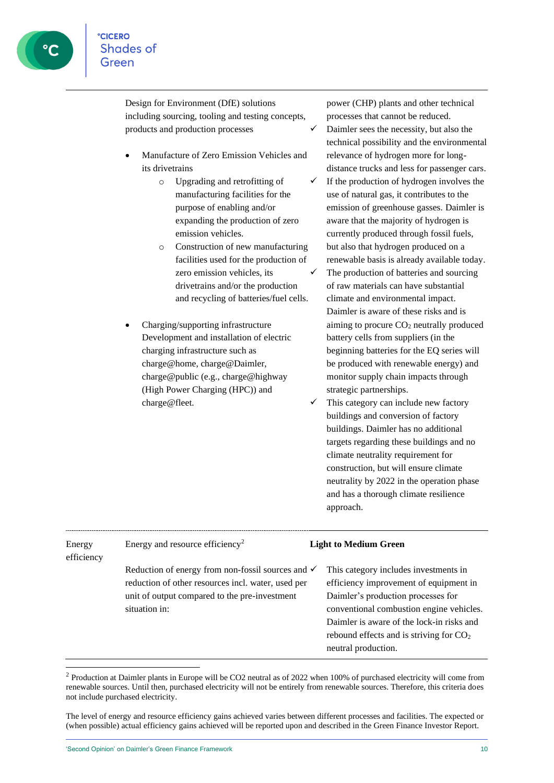Design for Environment (DfE) solutions including sourcing, tooling and testing concepts, products and production processes

- Manufacture of Zero Emission Vehicles and its drivetrains
	- o Upgrading and retrofitting of manufacturing facilities for the purpose of enabling and/or expanding the production of zero emission vehicles.
	- o Construction of new manufacturing facilities used for the production of zero emission vehicles, its drivetrains and/or the production and recycling of batteries/fuel cells.
- Charging/supporting infrastructure Development and installation of electric charging infrastructure such as charge@home, charge@Daimler, charge@public (e.g., charge@highway (High Power Charging (HPC)) and charge@fleet.

power (CHP) plants and other technical processes that cannot be reduced. Daimler sees the necessity, but also the technical possibility and the environmental relevance of hydrogen more for long-

- distance trucks and less for passenger cars.  $\checkmark$  If the production of hydrogen involves the use of natural gas, it contributes to the emission of greenhouse gasses. Daimler is aware that the majority of hydrogen is currently produced through fossil fuels, but also that hydrogen produced on a renewable basis is already available today. The production of batteries and sourcing of raw materials can have substantial climate and environmental impact. Daimler is aware of these risks and is aiming to procure  $CO<sub>2</sub>$  neutrally produced battery cells from suppliers (in the beginning batteries for the EQ series will be produced with renewable energy) and monitor supply chain impacts through strategic partnerships.
- This category can include new factory buildings and conversion of factory buildings. Daimler has no additional targets regarding these buildings and no climate neutrality requirement for construction, but will ensure climate neutrality by 2022 in the operation phase and has a thorough climate resilience approach.

| Energy<br>efficiency | Energy and resource efficiency <sup>2</sup>                                                                                                                                          | <b>Light to Medium Green</b>                                                                                                                                                                                                                                                       |
|----------------------|--------------------------------------------------------------------------------------------------------------------------------------------------------------------------------------|------------------------------------------------------------------------------------------------------------------------------------------------------------------------------------------------------------------------------------------------------------------------------------|
|                      | Reduction of energy from non-fossil sources and $\checkmark$<br>reduction of other resources incl. water, used per<br>unit of output compared to the pre-investment<br>situation in: | This category includes investments in<br>efficiency improvement of equipment in<br>Daimler's production processes for<br>conventional combustion engine vehicles.<br>Daimler is aware of the lock-in risks and<br>rebound effects and is striving for $CO2$<br>neutral production. |

<sup>2</sup> Production at Daimler plants in Europe will be CO2 neutral as of 2022 when 100% of purchased electricity will come from renewable sources. Until then, purchased electricity will not be entirely from renewable sources. Therefore, this criteria does not include purchased electricity.

The level of energy and resource efficiency gains achieved varies between different processes and facilities. The expected or (when possible) actual efficiency gains achieved will be reported upon and described in the Green Finance Investor Report.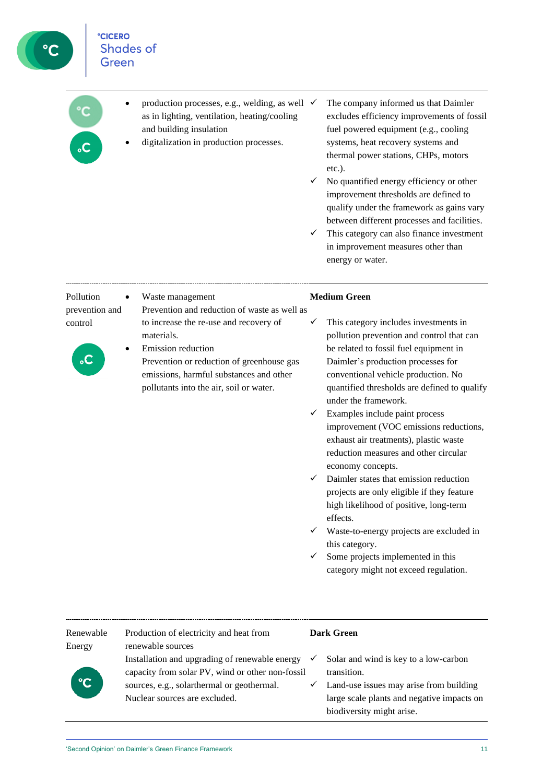| <b>°CICERO</b><br><b>Shades of</b><br>Green |                                                                                                                                                                                                               |                                                                                                                                                                                                                                                                                                                                                                                                                                                                                                                                                                                                                                                                                                                                                                                                     |  |
|---------------------------------------------|---------------------------------------------------------------------------------------------------------------------------------------------------------------------------------------------------------------|-----------------------------------------------------------------------------------------------------------------------------------------------------------------------------------------------------------------------------------------------------------------------------------------------------------------------------------------------------------------------------------------------------------------------------------------------------------------------------------------------------------------------------------------------------------------------------------------------------------------------------------------------------------------------------------------------------------------------------------------------------------------------------------------------------|--|
| С<br>$\mathbf{C}$                           | production processes, e.g., welding, as well $\checkmark$<br>as in lighting, ventilation, heating/cooling<br>and building insulation<br>digitalization in production processes.                               | The company informed us that Daimler<br>excludes efficiency improvements of fossil<br>fuel powered equipment (e.g., cooling<br>systems, heat recovery systems and<br>thermal power stations, CHPs, motors<br>etc.).<br>No quantified energy efficiency or other<br>✓<br>improvement thresholds are defined to<br>qualify under the framework as gains vary<br>between different processes and facilities.<br>This category can also finance investment<br>✓<br>in improvement measures other than<br>energy or water.                                                                                                                                                                                                                                                                               |  |
| Pollution<br>prevention and                 | Waste management<br>Prevention and reduction of waste as well as                                                                                                                                              | <b>Medium Green</b>                                                                                                                                                                                                                                                                                                                                                                                                                                                                                                                                                                                                                                                                                                                                                                                 |  |
| control                                     | to increase the re-use and recovery of<br>materials.<br>Emission reduction<br>Prevention or reduction of greenhouse gas<br>emissions, harmful substances and other<br>pollutants into the air, soil or water. | This category includes investments in<br>✓<br>pollution prevention and control that can<br>be related to fossil fuel equipment in<br>Daimler's production processes for<br>conventional vehicle production. No<br>quantified thresholds are defined to qualify<br>under the framework.<br>Examples include paint process<br>✓<br>improvement (VOC emissions reductions,<br>exhaust air treatments), plastic waste<br>reduction measures and other circular<br>economy concepts.<br>Daimler states that emission reduction<br>✓<br>projects are only eligible if they feature<br>high likelihood of positive, long-term<br>effects.<br>Waste-to-energy projects are excluded in<br>$\checkmark$<br>this category.<br>Some projects implemented in this<br>✓<br>category might not exceed regulation. |  |
| Renewable<br>Energy                         | Production of electricity and heat from<br>renewable sources                                                                                                                                                  | <b>Dark Green</b>                                                                                                                                                                                                                                                                                                                                                                                                                                                                                                                                                                                                                                                                                                                                                                                   |  |
|                                             | Installation and upgrading of renewable energy<br>capacity from solar PV, wind or other non-fossil<br>sources, e.g., solarthermal or geothermal.<br>Nuclear sources are excluded.                             | Solar and wind is key to a low-carbon<br>$\checkmark$<br>transition.<br>Land-use issues may arise from building<br>✓<br>large scale plants and negative impacts on<br>biodiversity might arise.                                                                                                                                                                                                                                                                                                                                                                                                                                                                                                                                                                                                     |  |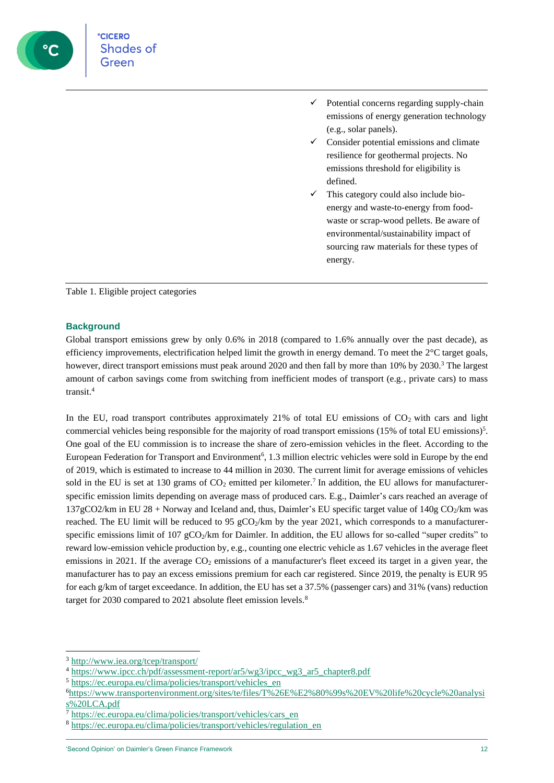

- $\checkmark$  Potential concerns regarding supply-chain emissions of energy generation technology (e.g., solar panels).
- Consider potential emissions and climate resilience for geothermal projects. No emissions threshold for eligibility is defined.
- <span id="page-11-0"></span>This category could also include bioenergy and waste-to-energy from foodwaste or scrap-wood pellets. Be aware of environmental/sustainability impact of sourcing raw materials for these types of energy.

Table 1. Eligible project categories

### **Background**

Global transport emissions grew by only 0.6% in 2018 (compared to 1.6% annually over the past decade), as efficiency improvements, electrification helped limit the growth in energy demand. To meet the 2°C target goals, however, direct transport emissions must peak around 2020 and then fall by more than 10% by 2030.<sup>3</sup> The largest amount of carbon savings come from switching from inefficient modes of transport (e.g., private cars) to mass transit.<sup>4</sup>

<span id="page-11-1"></span>In the EU, road transport contributes approximately 21% of total EU emissions of  $CO<sub>2</sub>$  with cars and light commercial vehicles being responsible for the majority of road transport emissions (15% of total EU emissions) 5 . One goal of the EU commission is to increase the share of zero-emission vehicles in the fleet. According to the European Federation for Transport and Environment<sup>6</sup>, 1.3 million electric vehicles were sold in Europe by the end of 2019, which is estimated to increase to 44 million in 2030. The current limit for average emissions of vehicles sold in the EU is set at 130 grams of  $CO_2$  emitted per kilometer.<sup>7</sup> In addition, the EU allows for manufacturerspecific emission limits depending on average mass of produced cars. E.g., Daimler's cars reached an average of  $137gCO2/km$  in EU 28 + Norway and Iceland and, thus, Daimler's EU specific target value of  $140g CO<sub>2</sub>/km$  was reached. The EU limit will be reduced to 95  $gCO<sub>2</sub>/km$  by the year 2021, which corresponds to a manufacturerspecific emissions limit of 107 gCO<sub>2</sub>/km for Daimler. In addition, the EU allows for so-called "super credits" to reward low-emission vehicle production by, e.g., counting one electric vehicle as 1.67 vehicles in the average fleet emissions in 2021. If the average  $CO<sub>2</sub>$  emissions of a manufacturer's fleet exceed its target in a given year, the manufacturer has to pay an excess emissions premium for each car registered. Since 2019, the penalty is EUR 95 for each g/km of target exceedance. In addition, the EU has set a 37.5% (passenger cars) and 31% (vans) reduction target for 2030 compared to 2021 absolute fleet emission levels.<sup>8</sup>

<sup>3</sup> <http://www.iea.org/tcep/transport/>

<sup>&</sup>lt;sup>4</sup> [https://www.ipcc.ch/pdf/assessment-report/ar5/wg3/ipcc\\_wg3\\_ar5\\_chapter8.pdf](https://www.ipcc.ch/pdf/assessment-report/ar5/wg3/ipcc_wg3_ar5_chapter8.pdf)

<sup>5</sup> [https://ec.europa.eu/clima/policies/transport/vehicles\\_en](https://ec.europa.eu/clima/policies/transport/vehicles_en)

<sup>6</sup>[https://www.transportenvironment.org/sites/te/files/T%26E%E2%80%99s%20EV%20life%20cycle%20analysi](https://www.transportenvironment.org/sites/te/files/T%26E%E2%80%99s%20EV%20life%20cycle%20analysis%20LCA.pdf) [s%20LCA.pdf](https://www.transportenvironment.org/sites/te/files/T%26E%E2%80%99s%20EV%20life%20cycle%20analysis%20LCA.pdf)

<sup>7</sup> [https://ec.europa.eu/clima/policies/transport/vehicles/cars\\_en](https://ec.europa.eu/clima/policies/transport/vehicles/cars_en)

<sup>8</sup> [https://ec.europa.eu/clima/policies/transport/vehicles/regulation\\_en](https://ec.europa.eu/clima/policies/transport/vehicles/regulation_en)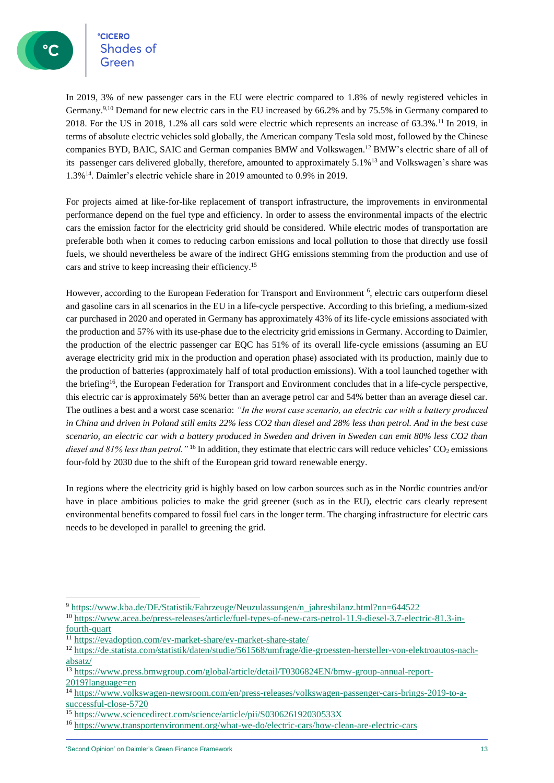In 2019, 3% of new passenger cars in the EU were electric compared to 1.8% of newly registered vehicles in Germany.<sup>9,10</sup> Demand for new electric cars in the EU increased by 66.2% and by 75.5% in Germany compared to 2018. For the US in 2018, 1.2% all cars sold were electric which represents an increase of 63.3%.<sup>11</sup> In 2019, in terms of absolute electric vehicles sold globally, the American company Tesla sold most, followed by the Chinese companies BYD, BAIC, SAIC and German companies BMW and Volkswagen. <sup>12</sup> BMW's electric share of all of its passenger cars delivered globally, therefore, amounted to approximately  $5.1\%^{13}$  and Volkswagen's share was 1.3%<sup>14</sup> . Daimler's electric vehicle share in 2019 amounted to 0.9% in 2019.

For projects aimed at like-for-like replacement of transport infrastructure, the improvements in environmental performance depend on the fuel type and efficiency. In order to assess the environmental impacts of the electric cars the emission factor for the electricity grid should be considered. While electric modes of transportation are preferable both when it comes to reducing carbon emissions and local pollution to those that directly use fossil fuels, we should nevertheless be aware of the indirect GHG emissions stemming from the production and use of cars and strive to keep increasing their efficiency.<sup>15</sup>

<span id="page-12-0"></span>However[,](#page-11-0) according to the European Federation for Transport and Environment <sup>6</sup>, electric cars outperform diesel and gasoline cars in all scenarios in the EU in a life-cycle perspective. According to this briefing, a medium-sized car purchased in 2020 and operated in Germany has approximately 43% of its life-cycle emissions associated with the production and 57% with its use-phase due to the electricity grid emissions in Germany. According to Daimler, the production of the electric passenger car EQC has 51% of its overall life-cycle emissions (assuming an EU average electricity grid mix in the production and operation phase) associated with its production, mainly due to the production of batteries (approximately half of total production emissions). With a tool launched together with the briefing<sup>16</sup>, the European Federation for Transport and Environment concludes that in a life-cycle perspective, this electric car is approximately 56% better than an average petrol car and 54% better than an average diesel car. The outlines a best and a worst case scenario: *"In the worst case scenario, an electric car with a battery produced in China and driven in Poland still emits 22% less CO2 than diesel and 28% less than petrol. And in the best case scenario, an electric car with a battery produced in Sweden and driven in Sweden can emit 80% less CO2 than diesel and 81% less than petrol.*"<sup>[16](#page-12-0)</sup> In addition, they estimate that electric cars will reduce vehicles' CO<sub>2</sub> emissions four-fold by 2030 due to the shift of the European grid toward renewable energy.

In regions where the electricity grid is highly based on low carbon sources such as in the Nordic countries and/or have in place ambitious policies to make the grid greener (such as in the EU), electric cars clearly represent environmental benefits compared to fossil fuel cars in the longer term. The charging infrastructure for electric cars needs to be developed in parallel to greening the grid.

<sup>9</sup> [https://www.kba.de/DE/Statistik/Fahrzeuge/Neuzulassungen/n\\_jahresbilanz.html?nn=644522](https://www.kba.de/DE/Statistik/Fahrzeuge/Neuzulassungen/n_jahresbilanz.html?nn=644522)

<sup>10</sup> [https://www.acea.be/press-releases/article/fuel-types-of-new-cars-petrol-11.9-diesel-3.7-electric-81.3-in](https://www.acea.be/press-releases/article/fuel-types-of-new-cars-petrol-11.9-diesel-3.7-electric-81.3-in-fourth-quart)[fourth-quart](https://www.acea.be/press-releases/article/fuel-types-of-new-cars-petrol-11.9-diesel-3.7-electric-81.3-in-fourth-quart)

<sup>11</sup> <https://evadoption.com/ev-market-share/ev-market-share-state/>

<sup>12</sup> [https://de.statista.com/statistik/daten/studie/561568/umfrage/die-groessten-hersteller-von-elektroautos-nach](https://de.statista.com/statistik/daten/studie/561568/umfrage/die-groessten-hersteller-von-elektroautos-nach-absatz/)[absatz/](https://de.statista.com/statistik/daten/studie/561568/umfrage/die-groessten-hersteller-von-elektroautos-nach-absatz/)

<sup>&</sup>lt;sup>13</sup> [https://www.press.bmwgroup.com/global/article/detail/T0306824EN/bmw-group-annual-report-](https://www.press.bmwgroup.com/global/article/detail/T0306824EN/bmw-group-annual-report-2019?language=en)[2019?language=en](https://www.press.bmwgroup.com/global/article/detail/T0306824EN/bmw-group-annual-report-2019?language=en)

<sup>14</sup> [https://www.volkswagen-newsroom.com/en/press-releases/volkswagen-passenger-cars-brings-2019-to-a](https://www.volkswagen-newsroom.com/en/press-releases/volkswagen-passenger-cars-brings-2019-to-a-successful-close-5720)[successful-close-5720](https://www.volkswagen-newsroom.com/en/press-releases/volkswagen-passenger-cars-brings-2019-to-a-successful-close-5720)

<sup>15</sup> <https://www.sciencedirect.com/science/article/pii/S030626192030533X>

<sup>16</sup> <https://www.transportenvironment.org/what-we-do/electric-cars/how-clean-are-electric-cars>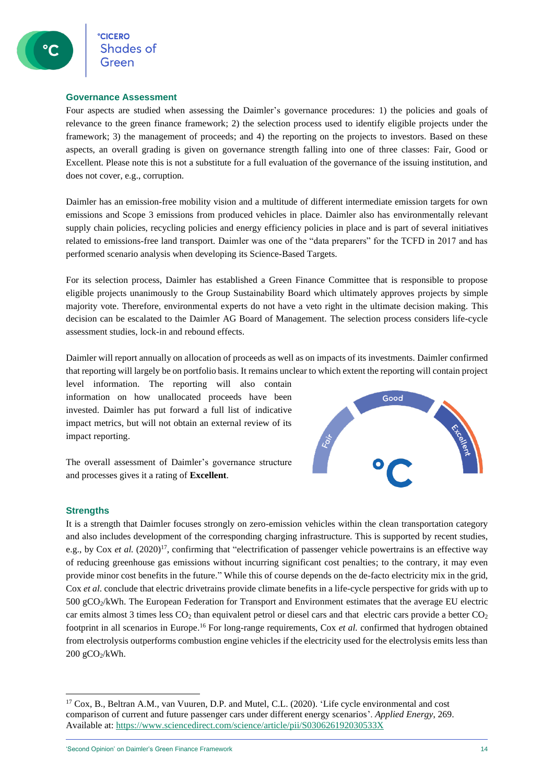### **Governance Assessment**

Four aspects are studied when assessing the Daimler's governance procedures: 1) the policies and goals of relevance to the green finance framework; 2) the selection process used to identify eligible projects under the framework; 3) the management of proceeds; and 4) the reporting on the projects to investors. Based on these aspects, an overall grading is given on governance strength falling into one of three classes: Fair, Good or Excellent. Please note this is not a substitute for a full evaluation of the governance of the issuing institution, and does not cover, e.g., corruption.

Daimler has an emission-free mobility vision and a multitude of different intermediate emission targets for own emissions and Scope 3 emissions from produced vehicles in place. Daimler also has environmentally relevant supply chain policies, recycling policies and energy efficiency policies in place and is part of several initiatives related to emissions-free land transport. Daimler was one of the "data preparers" for the TCFD in 2017 and has performed scenario analysis when developing its Science-Based Targets.

For its selection process, Daimler has established a Green Finance Committee that is responsible to propose eligible projects unanimously to the Group Sustainability Board which ultimately approves projects by simple majority vote. Therefore, environmental experts do not have a veto right in the ultimate decision making. This decision can be escalated to the Daimler AG Board of Management. The selection process considers life-cycle assessment studies, lock-in and rebound effects.

Daimler will report annually on allocation of proceeds as well as on impacts of its investments. Daimler confirmed that reporting will largely be on portfolio basis. It remains unclear to which extent the reporting will contain project

level information. The reporting will also contain information on how unallocated proceeds have been invested. Daimler has put forward a full list of indicative impact metrics, but will not obtain an external review of its impact reporting.

The overall assessment of Daimler's governance structure and processes gives it a rating of **Excellent**.



### **Strengths**

<span id="page-13-0"></span>It is a strength that Daimler focuses strongly on zero-emission vehicles within the clean transportation category and also includes development of the corresponding charging infrastructure. This is supported by recent studies, e.g., by Cox *et al.* (2020)<sup>17</sup>, confirming that "electrification of passenger vehicle powertrains is an effective way of reducing greenhouse gas emissions without incurring significant cost penalties; to the contrary, it may even provide minor cost benefits in the future." While this of course depends on the de-facto electricity mix in the grid, Cox *et al*. conclude that electric drivetrains provide climate benefits in a life-cycle perspective for grids with up to 500 gCO2/kWh. The European Federation for Transport and Environment estimates that the average EU electric car emits almost 3 times less  $CO<sub>2</sub>$  than equivalent petrol or diesel cars and that electric cars provide a better  $CO<sub>2</sub>$ footprint in all scenarios in Europe. [16](#page-12-0) For long-range requirements, Cox *et al.* confirmed that hydrogen obtained from electrolysis outperforms combustion engine vehicles if the electricity used for the electrolysis emits less than 200 gCO2/kWh.

<sup>17</sup> Cox, B., Beltran A.M., van Vuuren, D.P. and Mutel, C.L. (2020). 'Life cycle environmental and cost comparison of current and future passenger cars under different energy scenarios'. *Applied Energy*, 269. Available at:<https://www.sciencedirect.com/science/article/pii/S030626192030533X>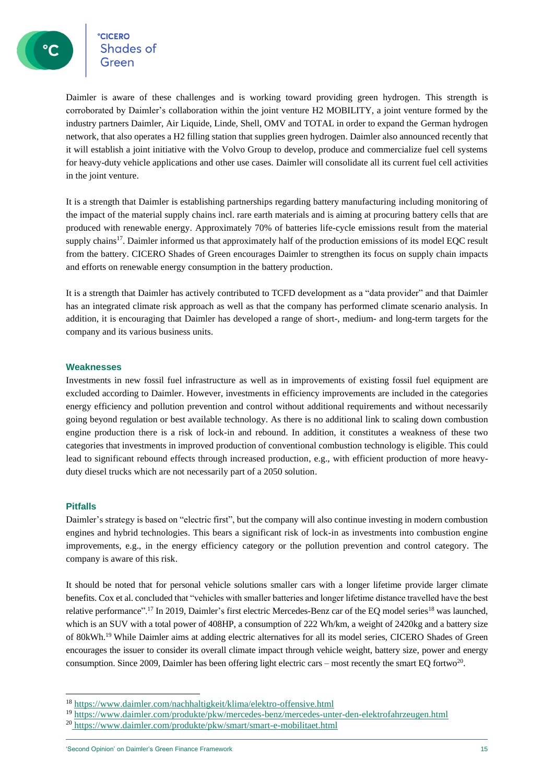Daimler is aware of these challenges and is working toward providing green hydrogen. This strength is corroborated by Daimler's collaboration within the joint venture H2 MOBILITY, a joint venture formed by the industry partners Daimler, Air Liquide, Linde, Shell, OMV and TOTAL in order to expand the German hydrogen network, that also operates a H2 filling station that supplies green hydrogen. Daimler also announced recently that it will establish a joint initiative with the Volvo Group to develop, produce and commercialize fuel cell systems for heavy-duty vehicle applications and other use cases. Daimler will consolidate all its current fuel cell activities in the joint venture.

It is a strength that Daimler is establishing partnerships regarding battery manufacturing including monitoring of the impact of the material supply chains incl. rare earth materials and is aiming at procuring battery cells that are produced with renewable energy. Approximately 70% of batteries life-cycle emissions result from the material supply chains<sup>[17](#page-13-0)</sup>. Daimler informed us that approximately half of the production emissions of its model EOC result from the battery. CICERO Shades of Green encourages Daimler to strengthen its focus on supply chain impacts and efforts on renewable energy consumption in the battery production.

It is a strength that Daimler has actively contributed to TCFD development as a "data provider" and that Daimler has an integrated climate risk approach as well as that the company has performed climate scenario analysis. In addition, it is encouraging that Daimler has developed a range of short-, medium- and long-term targets for the company and its various business units.

### **Weaknesses**

Investments in new fossil fuel infrastructure as well as in improvements of existing fossil fuel equipment are excluded according to Daimler. However, investments in efficiency improvements are included in the categories energy efficiency and pollution prevention and control without additional requirements and without necessarily going beyond regulation or best available technology. As there is no additional link to scaling down combustion engine production there is a risk of lock-in and rebound. In addition, it constitutes a weakness of these two categories that investments in improved production of conventional combustion technology is eligible. This could lead to significant rebound effects through increased production, e.g., with efficient production of more heavyduty diesel trucks which are not necessarily part of a 2050 solution.

### **Pitfalls**

Daimler's strategy is based on "electric first", but the company will also continue investing in modern combustion engines and hybrid technologies. This bears a significant risk of lock-in as investments into combustion engine improvements, e.g., in the energy efficiency category or the pollution prevention and control category. The company is aware of this risk.

It should be noted that for personal vehicle solutions smaller cars with a longer lifetime provide larger climate benefits. Cox et al. concluded that "vehicles with smaller batteries and longer lifetime distance travelled have the best relative performance".<sup>[17](#page-13-0)</sup> In 2019, Daimler's first electric Mercedes-Benz car of the EQ model series<sup>18</sup> was launched, which is an SUV with a total power of 408HP, a consumption of 222 Wh/km, a weight of 2420kg and a battery size of 80kWh.<sup>19</sup> While Daimler aims at adding electric alternatives for all its model series, CICERO Shades of Green encourages the issuer to consider its overall climate impact through vehicle weight, battery size, power and energy consumption. Since 2009, Daimler has been offering light electric cars – most recently the smart EQ fortwo<sup>20</sup>.

<sup>18</sup> <https://www.daimler.com/nachhaltigkeit/klima/elektro-offensive.html>

<sup>19</sup> <https://www.daimler.com/produkte/pkw/mercedes-benz/mercedes-unter-den-elektrofahrzeugen.html>

<sup>20</sup> <https://www.daimler.com/produkte/pkw/smart/smart-e-mobilitaet.html>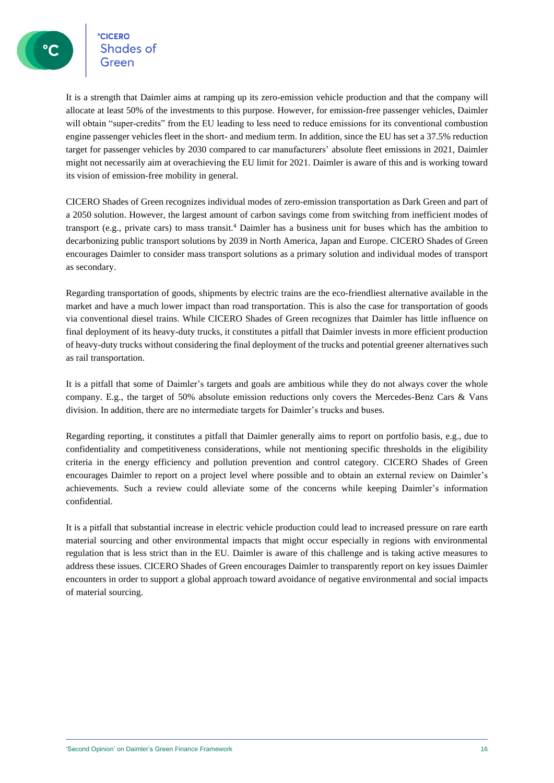It is a strength that Daimler aims at ramping up its zero-emission vehicle production and that the company will allocate at least 50% of the investments to this purpose. However, for emission-free passenger vehicles, Daimler will obtain "super-credits" from the EU leading to less need to reduce emissions for its conventional combustion engine passenger vehicles fleet in the short- and medium term. In addition, since the EU has set a 37.5% reduction target for passenger vehicles by 2030 compared to car manufacturers' absolute fleet emissions in 2021, Daimler might not necessarily aim at overachieving the EU limit for 2021. Daimler is aware of this and is working toward its vision of emission-free mobility in general.

CICERO Shades of Green recognizes individual modes of zero-emission transportation as Dark Green and part of a 2050 solution. However, the largest amount of carbon savings come from switching from inefficient modes of transport (e.g., private cars) to mass transit.[4](#page-11-1) Daimler has a business unit for buses which has the ambition to decarbonizing public transport solutions by 2039 in North America, Japan and Europe. CICERO Shades of Green encourages Daimler to consider mass transport solutions as a primary solution and individual modes of transport as secondary.

Regarding transportation of goods, shipments by electric trains are the eco-friendliest alternative available in the market and have a much lower impact than road transportation. This is also the case for transportation of goods via conventional diesel trains. While CICERO Shades of Green recognizes that Daimler has little influence on final deployment of its heavy-duty trucks, it constitutes a pitfall that Daimler invests in more efficient production of heavy-duty trucks without considering the final deployment of the trucks and potential greener alternatives such as rail transportation.

It is a pitfall that some of Daimler's targets and goals are ambitious while they do not always cover the whole company. E.g., the target of 50% absolute emission reductions only covers the Mercedes-Benz Cars & Vans division. In addition, there are no intermediate targets for Daimler's trucks and buses.

Regarding reporting, it constitutes a pitfall that Daimler generally aims to report on portfolio basis, e.g., due to confidentiality and competitiveness considerations, while not mentioning specific thresholds in the eligibility criteria in the energy efficiency and pollution prevention and control category. CICERO Shades of Green encourages Daimler to report on a project level where possible and to obtain an external review on Daimler's achievements. Such a review could alleviate some of the concerns while keeping Daimler's information confidential.

It is a pitfall that substantial increase in electric vehicle production could lead to increased pressure on rare earth material sourcing and other environmental impacts that might occur especially in regions with environmental regulation that is less strict than in the EU. Daimler is aware of this challenge and is taking active measures to address these issues. CICERO Shades of Green encourages Daimler to transparently report on key issues Daimler encounters in order to support a global approach toward avoidance of negative environmental and social impacts of material sourcing.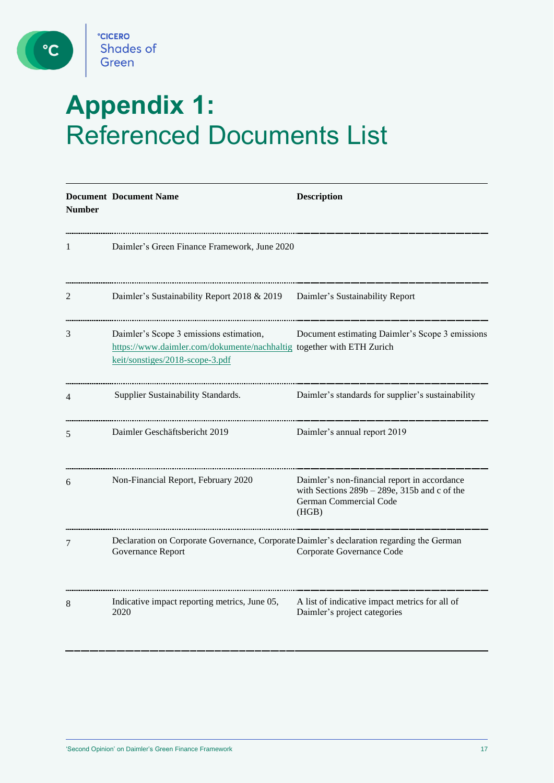

 $\bullet$ 

# **Appendix 1:** Referenced Documents List

| <b>Number</b> | <b>Document Document Name</b>                                                                                                                       | <b>Description</b>                                                                                                                 |
|---------------|-----------------------------------------------------------------------------------------------------------------------------------------------------|------------------------------------------------------------------------------------------------------------------------------------|
| 1             | Daimler's Green Finance Framework, June 2020                                                                                                        |                                                                                                                                    |
| 2             | Daimler's Sustainability Report 2018 & 2019 Daimler's Sustainability Report                                                                         |                                                                                                                                    |
| 3             | Daimler's Scope 3 emissions estimation,<br>https://www.daimler.com/dokumente/nachhaltig together with ETH Zurich<br>keit/sonstiges/2018-scope-3.pdf | Document estimating Daimler's Scope 3 emissions                                                                                    |
| 4             | Supplier Sustainability Standards.                                                                                                                  | Daimler's standards for supplier's sustainability                                                                                  |
| 5             | Daimler Geschäftsbericht 2019                                                                                                                       | Daimler's annual report 2019                                                                                                       |
| 6             | Non-Financial Report, February 2020                                                                                                                 | Daimler's non-financial report in accordance<br>with Sections $289b - 289e$ , 315b and c of the<br>German Commercial Code<br>(HGB) |
| 7             | Declaration on Corporate Governance, Corporate Daimler's declaration regarding the German<br>Governance Report                                      | Corporate Governance Code                                                                                                          |
| 8             | Indicative impact reporting metrics, June 05,<br>2020                                                                                               | A list of indicative impact metrics for all of<br>Daimler's project categories                                                     |